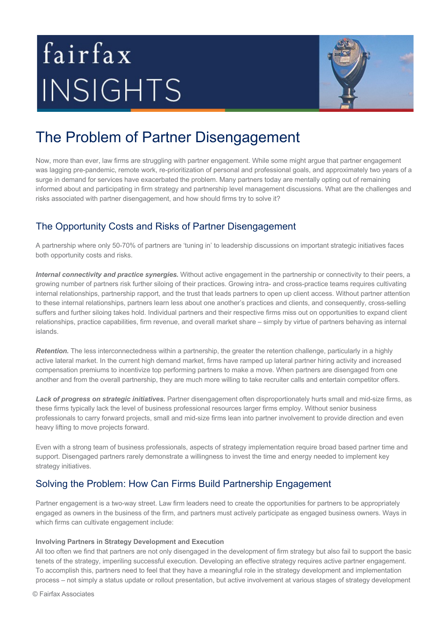# fairfax INSIGHTS



# The Problem of Partner Disengagement

Now, more than ever, law firms are struggling with partner engagement. While some might argue that partner engagement was lagging pre-pandemic, remote work, re-prioritization of personal and professional goals, and approximately two years of a surge in demand for services have exacerbated the problem. Many partners today are mentally opting out of remaining informed about and participating in firm strategy and partnership level management discussions. What are the challenges and risks associated with partner disengagement, and how should firms try to solve it?

## The Opportunity Costs and Risks of Partner Disengagement

A partnership where only 50-70% of partners are 'tuning in' to leadership discussions on important strategic initiatives faces both opportunity costs and risks.

*Internal connectivity and practice synergies.* Without active engagement in the partnership or connectivity to their peers, a growing number of partners risk further siloing of their practices. Growing intra- and cross-practice teams requires cultivating internal relationships, partnership rapport, and the trust that leads partners to open up client access. Without partner attention to these internal relationships, partners learn less about one another's practices and clients, and consequently, cross-selling suffers and further siloing takes hold. Individual partners and their respective firms miss out on opportunities to expand client relationships, practice capabilities, firm revenue, and overall market share – simply by virtue of partners behaving as internal islands.

*Retention.* The less interconnectedness within a partnership, the greater the retention challenge, particularly in a highly active lateral market. In the current high demand market, firms have ramped up lateral partner hiring activity and increased compensation premiums to incentivize top performing partners to make a move. When partners are disengaged from one another and from the overall partnership, they are much more willing to take recruiter calls and entertain competitor offers.

Lack of progress on strategic initiatives. Partner disengagement often disproportionately hurts small and mid-size firms, as these firms typically lack the level of business professional resources larger firms employ. Without senior business professionals to carry forward projects, small and mid-size firms lean into partner involvement to provide direction and even heavy lifting to move projects forward.

Even with a strong team of business professionals, aspects of strategy implementation require broad based partner time and support. Disengaged partners rarely demonstrate a willingness to invest the time and energy needed to implement key strategy initiatives.

# Solving the Problem: How Can Firms Build Partnership Engagement

Partner engagement is a two-way street. Law firm leaders need to create the opportunities for partners to be appropriately engaged as owners in the business of the firm, and partners must actively participate as engaged business owners. Ways in which firms can cultivate engagement include:

#### **Involving Partners in Strategy Development and Execution**

All too often we find that partners are not only disengaged in the development of firm strategy but also fail to support the basic tenets of the strategy, imperiling successful execution. Developing an effective strategy requires active partner engagement. To accomplish this, partners need to feel that they have a meaningful role in the strategy development and implementation process – not simply a status update or rollout presentation, but active involvement at various stages of strategy development